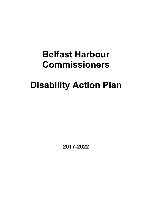## **Belfast Harbour Commissioners**

# **Disability Action Plan**

**2017-2022**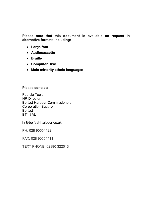**Please note that this document is available on request in alternative formats including:**

- **Large font**
- **Audiocassette**
- **Braille**
- **Computer Disc**
- **Main minority ethnic languages**

### **Please contact:**

Patricia Toolan HR Director Belfast Harbour Commissioners Corporation Square **Belfast** BT1 3AL

hr@belfast-harbour.co.uk

PH: 028 90554422

FAX: 028 90554411

TEXT PHONE: 02890 322013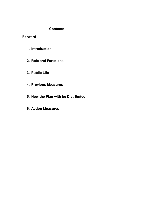## **Contents**

**Forward** 

- **1. Introduction**
- **2. Role and Functions**
- **3. Public Life**
- **4. Previous Measures**
- **5. How the Plan with be Distributed**
- **6. Action Measures**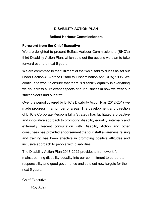## **DISABILITY ACTION PLAN**

## **Belfast Harbour Commissioners**

## **Foreword from the Chief Executive**

We are delighted to present Belfast Harbour Commissioners (BHC's) third Disability Action Plan, which sets out the actions we plan to take forward over the next 5 years.

We are committed to the fulfilment of the two disability duties as set out under Section 49A of the Disability Discrimination Act (DDA) 1995. We continue to work to ensure that there is disability equality in everything we do; across all relevant aspects of our business in how we treat our stakeholders and our staff.

Over the period covered by BHC's Disability Action Plan 2012-2017 we made progress in a number of areas. The development and direction of BHC's Corporate Responsibility Strategy has facilitated a proactive and innovative approach to promoting disability equality, internally and externally. Recent consultation with Disability Action and other consultees has provided endorsement that our staff awareness raising and training has been effective in promoting positive attitudes and inclusive approach to people with disabilities.

The Disability Action Plan 2017-2022 provides a framework for mainstreaming disability equality into our commitment to corporate responsibility and good governance and sets out new targets for the next 5 years.

Chief Executive

Roy Adair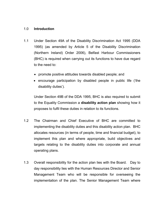#### 1.0 **Introduction**

- 1.1 Under Section 49A of the Disability Discrimination Act 1995 (DDA 1995) (as amended by Article 5 of the Disability Discrimination (Northern Ireland) Order 2006), Belfast Harbour Commissioners (BHC) is required when carrying out its functions to have due regard to the need to:
	- promote positive attitudes towards disabled people; and
	- encourage participation by disabled people in public life ('the disability duties').

Under Section 49B of the DDA 1995, BHC is also required to submit to the Equality Commission a **disability action plan** showing how it proposes to fulfil these duties in relation to its functions.

- 1.2 The Chairman and Chief Executive of BHC are committed to implementing the disability duties and this disability action plan. BHC allocates resources (in terms of people, time and financial budget), to implement this plan and where appropriate, build objectives and targets relating to the disability duties into corporate and annual operating plans.
- 1.3 Overall responsibility for the action plan lies with the Board. Day to day responsibility lies with the Human Resources Director and Senior Management Team who will be responsible for overseeing the implementation of the plan. The Senior Management Team where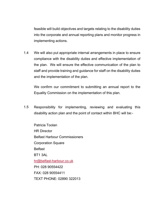feasible will build objectives and targets relating to the disability duties into the corporate and annual reporting plans and monitor progress in implementing actions.

1.4 We will also put appropriate internal arrangements in place to ensure compliance with the disability duties and effective implementation of the plan. We will ensure the effective communication of the plan to staff and provide training and guidance for staff on the disability duties and the implementation of the plan.

We confirm our commitment to submitting an annual report to the Equality Commission on the implementation of this plan.

1.5 Responsibility for implementing, reviewing and evaluating this disability action plan and the point of contact within BHC will be:-

Patricia Toolan HR Director Belfast Harbour Commissioners Corporation Square **Belfast** BT1 3AL hr@belfast-harbour.co.uk PH: 028 90554422 FAX: 028 90554411 TEXT PHONE: 02890 322013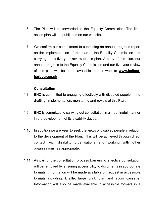- 1.6 The Plan will be forwarded to the Equality Commission. The final action plan will be published on our website.
- 1.7 We confirm our commitment to submitting an annual progress report on the implementation of this plan to the Equality Commission and carrying out a five year review of this plan. A copy of this plan, our annual progress to the Equality Commission and our five year review of this plan will be made available on our website **www.belfastharbour.co.uk**

## **Consultation**

- 1.8 BHC is committed to engaging effectively with disabled people in the drafting, implementation, monitoring and review of this Plan.
- 1.9 BHC is committed to carrying out consultation in a meaningful manner in the development of its disability duties.
- 1.10 In addition we are keen to seek the views of disabled people in relation to the development of the Plan. This will be achieved through direct contact with disability organisations and working with other organisations, as appropriate.
- 1.11 As part of the consultation process barriers to effective consultation will be removed by ensuring accessibility to documents in appropriate formats. Information will be made available on request in accessible formats including, Braille, large print, disc and audio cassette. Information will also be made available in accessible formats in a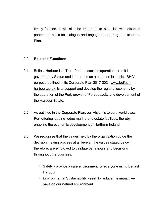timely fashion. It will also be important to establish with disabled people the basis for dialogue and engagement during the life of the Plan.

#### 2.0 **Role and Functions**

- 2.1 Belfast Harbour is a Trust Port; as such its operational remit is governed by Statue and it operates on a commercial basis. BHC's purpose outlined in its Corporate Plan 2017-2021 www.belfastharbour.co.uk is to support and develop the regional economy by the operation of the Port, growth of Port capacity and development of the Harbour Estate.
- 2.2 As outlined in the Corporate Plan, our Vision is to be a world class Port offering leading- edge marine and estate facilities, thereby enabling the economic development of Northern Ireland.
- 2.3 We recognise that the values held by the organisation guide the decision making process at all levels. The values stated below, therefore, are employed to validate behaviours and decisions throughout the business.
	- Safety provide a safe environment for everyone using Belfast Harbour
	- Environmental Sustainability seek to reduce the impact we have on our natural environment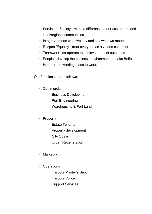- Service to Society make a difference to our customers, and local/regional communities
- Integrity mean what we say and say what we mean
- Respect/Equality treat everyone as a valued customer
- Teamwork co-operate to achieve the best outcomes
- People develop the business environment to make Belfast Harbour a rewarding place to work.

Our functions are as follows:

- Commercial
	- Business Development
	- Port Engineering
	- Warehousing & Port Land
- Property
	- Estate Tenants
	- Property development
	- City Quays
	- Urban Regeneration
- **Marketing**
- **Operations** 
	- Harbour Master's Dept.
	- Harbour Police
	- Support Services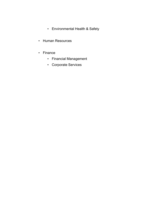- Environmental Health & Safety
- Human Resources
- Finance
	- Financial Management
	- Corporate Services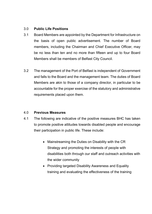#### 3.0 **Public Life Positions**

- 3.1 Board Members are appointed by the Department for Infrastructure on the basis of open public advertisement. The number of Board members, including the Chairman and Chief Executive Officer, may be no less than ten and no more than fifteen and up to four Board Members shall be members of Belfast City Council.
- 3.2 The management of the Port of Belfast is independent of Government and falls to the Board and the management team. The duties of Board Members are akin to those of a company director, in particular to be accountable for the proper exercise of the statutory and administrative requirements placed upon them.

#### 4.0 **Previous Measures**

- 4.1 The following are indicative of the positive measures BHC has taken to promote positive attitudes towards disabled people and encourage their participation in public life. These include:
	- Mainstreaming the Duties on Disability with the CR Strategy and promoting the interests of people with disabilities both through our staff and outreach activities with the wider community
	- Providing targeted Disability Awareness and Equality training and evaluating the effectiveness of the training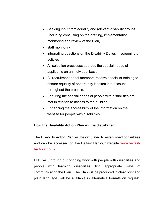- Seeking input from equality and relevant disability groups (including consulting on the drafting, implementation, monitoring and review of the Plan).
- staff monitoring
- integrating questions on the Disability Duties in screening of policies
- All selection processes address the special needs of applicants on an individual basis
- All recruitment panel members receive specialist training to ensure equality of opportunity is taken into account throughout the process.
- Ensuring the special needs of people with disabilities are met in relation to access to the building.
- Enhancing the accessibility of the information on the website for people with disabilities.

## **How the Disability Action Plan will be distributed**

The Disability Action Plan will be circulated to established consultees and can be accessed on the Belfast Harbour website www.belfastharbour.co.uk

BHC will, through our ongoing work with people with disabilities and people with learning disabilities, find appropriate ways of communicating the Plan. The Plan will be produced in clear print and plain language, will be available in alternative formats on request,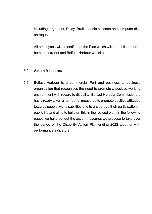including large print, Daisy, Braille, audio cassette and computer disc on request.

All employees will be notified of the Plan which will be published on both the intranet and Belfast Harbour website.

#### 5.0 **Action Measures**

5.1 Belfast Harbour is a commercial Port and business to business organisation that recognises the need to promote a positive working environment with regard to disability. Belfast Harbour Commissioners has already taken a number of measures to promote positive attitudes towards people with disabilities and to encourage their participation in public life and aims to build on this in the revised plan. In the following pages we have set out the action measures we propose to take over the period of the Disability Action Plan ending 2022 together with performance indicators.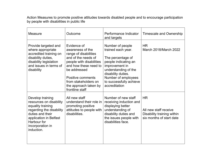Action Measures to promote positive attitudes towards disabled people and to encourage participation by people with disabilities in public life

| Measure                                                                                                                                                                                     | Outcome                                                                                                                                                                                                                                       | Performance Indicator<br>and targets                                                                                                                                                                                   | Timescale and Ownership                                                                      |
|---------------------------------------------------------------------------------------------------------------------------------------------------------------------------------------------|-----------------------------------------------------------------------------------------------------------------------------------------------------------------------------------------------------------------------------------------------|------------------------------------------------------------------------------------------------------------------------------------------------------------------------------------------------------------------------|----------------------------------------------------------------------------------------------|
| Provide targeted and<br>where appropriate<br>accredited training on<br>disability duties,<br>disability legislation<br>and issues in terms of<br>disability                                 | Evidence of<br>awareness of the<br>range of disabilities<br>and of the needs of<br>people with disabilities<br>and how these need to<br>be addressed<br>Positive comments<br>from stakeholders on<br>the approach taken by<br>frontline staff | Number of people<br>trained each year.<br>The percentage of<br>people indicating an<br>improvement in<br>understanding of the<br>disability duties.<br>Number of employees<br>to successfully achieve<br>accreditation | <b>HR</b><br>March 2018/March 2022                                                           |
| Develop training<br>resources on disability<br>equality training<br>regarding the disability<br>duties and their<br>application in Belfast<br>Harbour for<br>incorporation in<br>induction. | All new staff<br>understand their role in<br>promoting positive<br>attitudes to people with<br>disabilities.                                                                                                                                  | Number of new staff<br>receiving induction and<br>displaying better<br>understanding of<br>disability duties and<br>the issues people with<br>disabilities face.                                                       | <b>HR</b><br>All new staff receive<br>Disability training within<br>six months of start date |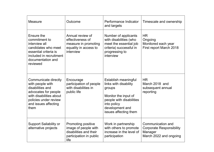| Measure                                                                                                                                                                  | Outcome                                                                                                        | Performance Indicator<br>and targets                                                                                                                                   | Timescale and ownership                                                                   |
|--------------------------------------------------------------------------------------------------------------------------------------------------------------------------|----------------------------------------------------------------------------------------------------------------|------------------------------------------------------------------------------------------------------------------------------------------------------------------------|-------------------------------------------------------------------------------------------|
| Ensure the<br>commitment to<br>interview all<br>candidates who meet<br>essential criteria is<br>included in recruitment<br>documentation and<br>reviewed                 | Annual review of<br>effectiveness of<br>measure in promoting<br>equality in access to<br>interview             | Number of applicants<br>with disabilities (who<br>meet the essential job<br>criteria) successful in<br>progressing to<br>interview                                     | <b>HR</b><br>Ongoing<br>Monitored each year<br>First report March 2018                    |
| Communicate directly<br>with people with<br>disabilities and<br>advocates for people<br>with disabilities about<br>policies under review<br>and issues affecting<br>them | Encourage<br>participation of people<br>with disabilities in<br>public life                                    | Establish meaningful<br>links with disability<br>groups<br>Monitor the input of<br>people with disabilities<br>into policy<br>development and<br>issues affecting them | <b>HR</b><br>March 2018 and<br>subsequent annual<br>reporting                             |
| <b>Support Sailability or</b><br>alternative projects                                                                                                                    | <b>Promoting positive</b><br>image of people with<br>disabilities and their<br>participation in public<br>life | Work in partnership<br>with others to promote<br>increase in the level of<br>participation                                                                             | Communication and<br><b>Corporate Responsibility</b><br>Manager<br>March 2022 and ongoing |